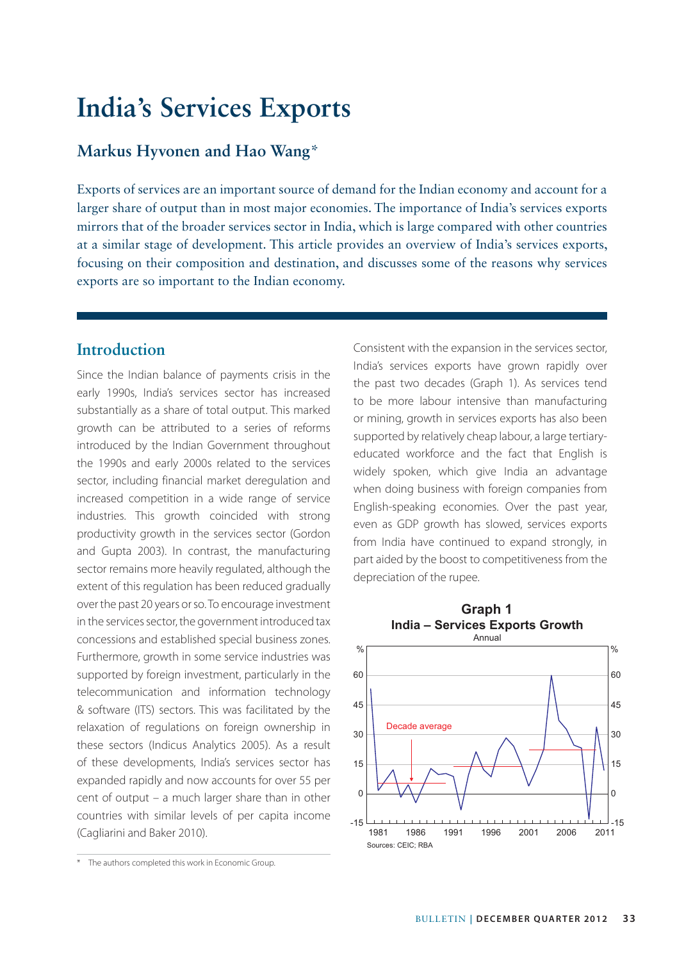# **India's Services Exports**

# **Markus Hyvonen and Hao Wang**\*

Exports of services are an important source of demand for the Indian economy and account for a larger share of output than in most major economies. The importance of India's services exports mirrors that of the broader services sector in India, which is large compared with other countries at a similar stage of development. This article provides an overview of India's services exports, focusing on their composition and destination, and discusses some of the reasons why services exports are so important to the Indian economy.

# **Introduction**

Since the Indian balance of payments crisis in the early 1990s, India's services sector has increased substantially as a share of total output. This marked growth can be attributed to a series of reforms introduced by the Indian Government throughout the 1990s and early 2000s related to the services sector, including financial market deregulation and increased competition in a wide range of service industries. This growth coincided with strong productivity growth in the services sector (Gordon and Gupta 2003). In contrast, the manufacturing sector remains more heavily regulated, although the extent of this regulation has been reduced gradually over the past 20 years or so. To encourage investment in the services sector, the government introduced tax concessions and established special business zones. Furthermore, growth in some service industries was supported by foreign investment, particularly in the telecommunication and information technology & software (ITS) sectors. This was facilitated by the relaxation of regulations on foreign ownership in these sectors (Indicus Analytics 2005). As a result of these developments, India's services sector has expanded rapidly and now accounts for over 55 per cent of output – a much larger share than in other countries with similar levels of per capita income (Cagliarini and Baker 2010).

Consistent with the expansion in the services sector, India's services exports have grown rapidly over the past two decades (Graph 1). As services tend to be more labour intensive than manufacturing or mining, growth in services exports has also been supported by relatively cheap labour, a large tertiaryeducated workforce and the fact that English is widely spoken, which give India an advantage when doing business with foreign companies from English-speaking economies. Over the past year, even as GDP growth has slowed, services exports from India have continued to expand strongly, in part aided by the boost to competitiveness from the depreciation of the rupee.





<sup>\*</sup> The authors completed this work in Economic Group.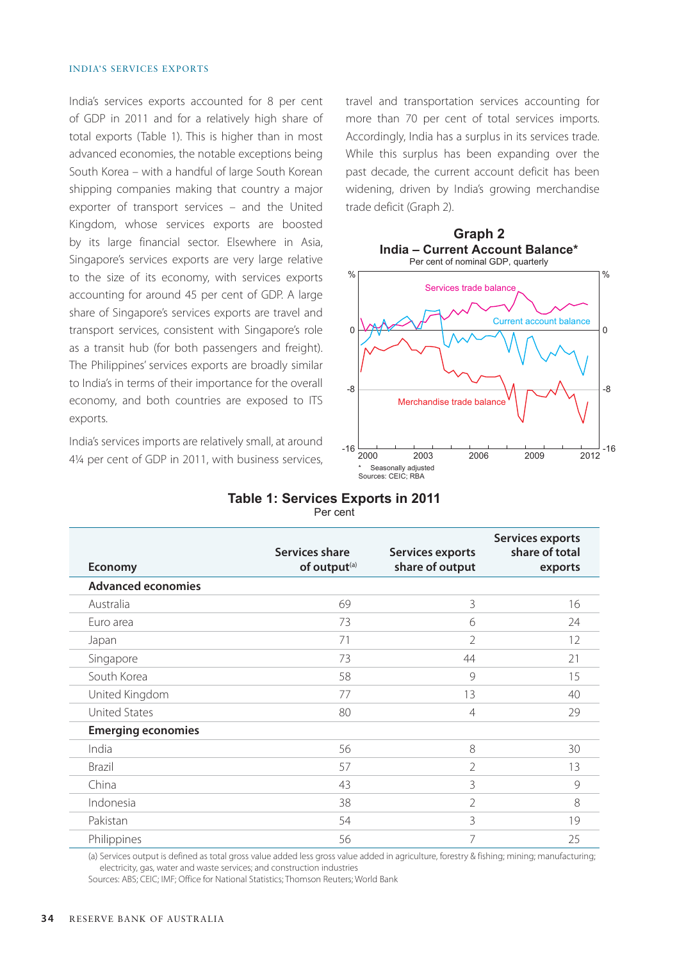#### India's Services Exports

India's services exports accounted for 8 per cent of GDP in 2011 and for a relatively high share of total exports (Table 1). This is higher than in most advanced economies, the notable exceptions being South Korea – with a handful of large South Korean shipping companies making that country a major exporter of transport services – and the United Kingdom, whose services exports are boosted by its large financial sector. Elsewhere in Asia, Singapore's services exports are very large relative to the size of its economy, with services exports accounting for around 45 per cent of GDP. A large share of Singapore's services exports are travel and transport services, consistent with Singapore's role as a transit hub (for both passengers and freight). The Philippines' services exports are broadly similar to India's in terms of their importance for the overall economy, and both countries are exposed to ITS exports.

India's services imports are relatively small, at around 4¼ per cent of GDP in 2011, with business services, travel and transportation services accounting for more than 70 per cent of total services imports. Accordingly, India has a surplus in its services trade. While this surplus has been expanding over the past decade, the current account deficit has been widening, driven by India's growing merchandise trade deficit (Graph 2).



#### **Table 1: Services Exports in 2011** Per cent

| Economy                   | Services share<br>of output <sup>(a)</sup> | Services exports<br>share of output | Services exports<br>share of total<br>exports |
|---------------------------|--------------------------------------------|-------------------------------------|-----------------------------------------------|
| <b>Advanced economies</b> |                                            |                                     |                                               |
| Australia                 | 69                                         | 3                                   | 16                                            |
| Euro area                 | 73                                         | 6                                   | 24                                            |
| Japan                     | 71                                         | $\mathfrak{D}$                      | 12                                            |
| Singapore                 | 73                                         | 44                                  | 21                                            |
| South Korea               | 58                                         | 9                                   | 15                                            |
| United Kingdom            | 77                                         | 13                                  | 40                                            |
| <b>United States</b>      | 80                                         | $\overline{4}$                      | 29                                            |
| <b>Emerging economies</b> |                                            |                                     |                                               |
| India                     | 56                                         | 8                                   | 30                                            |
| <b>Brazil</b>             | 57                                         | $\mathcal{P}$                       | 13                                            |
| China                     | 43                                         | 3                                   | 9                                             |
| Indonesia                 | 38                                         | $\mathfrak{D}$                      | 8                                             |
| Pakistan                  | 54                                         | 3                                   | 19                                            |
| Philippines               | 56                                         | 7                                   | 25                                            |

(a) Services output is defined as total gross value added less gross value added in agriculture, forestry & fishing; mining; manufacturing; electricity, gas, water and waste services; and construction industries

Sources: ABS; CEIC; IMF; Office for National Statistics; Thomson Reuters; World Bank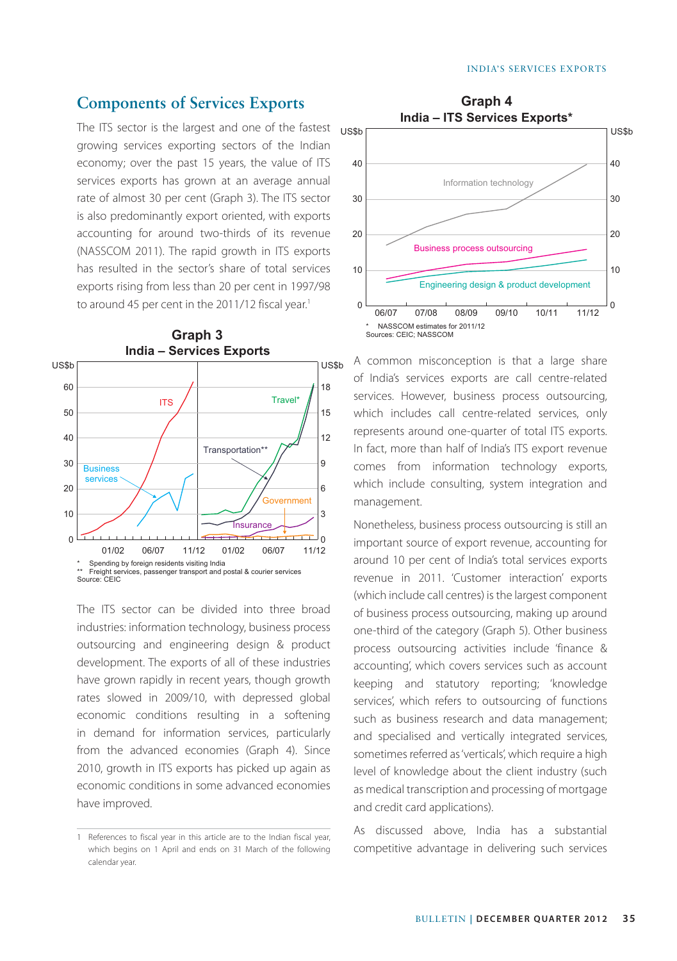## **Components of Services Exports**

The ITS sector is the largest and one of the fastest unest both and the US\$b and US\$b and US\$b and U growing services exporting sectors of the Indian economy; over the past 15 years, the value of ITS services exports has grown at an average annual rate of almost 30 per cent (Graph 3). The ITS sector is also predominantly export oriented, with exports accounting for around two-thirds of its revenue (NASSCOM 2011). The rapid growth in ITS exports has resulted in the sector's share of total services exports rising from less than 20 per cent in 1997/98 to around 45 per cent in the 2011/12 fiscal year.<sup>1</sup>



The ITS sector can be divided into three broad industries: information technology, business process outsourcing and engineering design & product development. The exports of all of these industries have grown rapidly in recent years, though growth rates slowed in 2009/10, with depressed global economic conditions resulting in a softening in demand for information services, particularly from the advanced economies (Graph 4). Since 2010, growth in ITS exports has picked up again as economic conditions in some advanced economies have improved.



A common misconception is that a large share of India's services exports are call centre-related services. However, business process outsourcing, which includes call centre-related services, only represents around one-quarter of total ITS exports. In fact, more than half of India's ITS export revenue comes from information technology exports, which include consulting, system integration and management.

Nonetheless, business process outsourcing is still an important source of export revenue, accounting for around 10 per cent of India's total services exports revenue in 2011. 'Customer interaction' exports (which include call centres) is the largest component of business process outsourcing, making up around one-third of the category (Graph 5). Other business process outsourcing activities include 'finance & accounting', which covers services such as account keeping and statutory reporting; 'knowledge services', which refers to outsourcing of functions such as business research and data management; and specialised and vertically integrated services, sometimes referred as 'verticals', which require a high level of knowledge about the client industry (such as medical transcription and processing of mortgage and credit card applications).

As discussed above, India has a substantial competitive advantage in delivering such services

<sup>1</sup> References to fiscal year in this article are to the Indian fiscal year, which begins on 1 April and ends on 31 March of the following calendar year.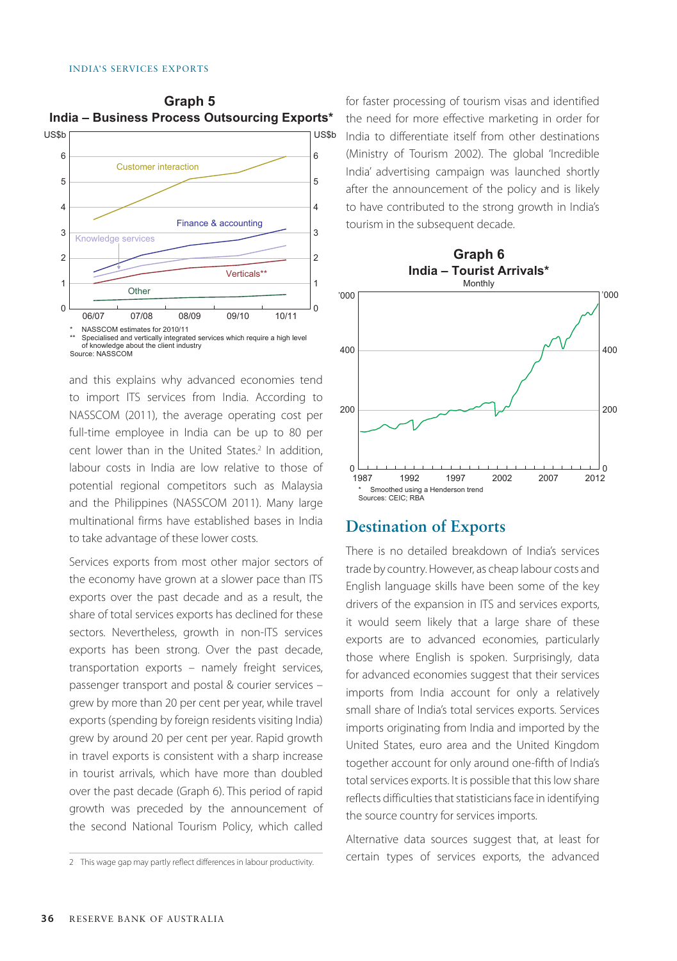

and this explains why advanced economies tend to import ITS services from India. According to NASSCOM (2011), the average operating cost per full-time employee in India can be up to 80 per cent lower than in the United States.<sup>2</sup> In addition, labour costs in India are low relative to those of potential regional competitors such as Malaysia and the Philippines (NASSCOM 2011). Many large multinational firms have established bases in India to take advantage of these lower costs.

Services exports from most other major sectors of the economy have grown at a slower pace than ITS exports over the past decade and as a result, the share of total services exports has declined for these sectors. Nevertheless, growth in non-ITS services exports has been strong. Over the past decade, transportation exports – namely freight services, passenger transport and postal & courier services – grew by more than 20 per cent per year, while travel exports (spending by foreign residents visiting India) grew by around 20 per cent per year. Rapid growth in travel exports is consistent with a sharp increase in tourist arrivals, which have more than doubled over the past decade (Graph 6). This period of rapid growth was preceded by the announcement of the second National Tourism Policy, which called

for faster processing of tourism visas and identified the need for more effective marketing in order for India to differentiate itself from other destinations (Ministry of Tourism 2002). The global 'Incredible India' advertising campaign was launched shortly after the announcement of the policy and is likely to have contributed to the strong growth in India's tourism in the subsequent decade.



## **Destination of Exports**

There is no detailed breakdown of India's services trade by country. However, as cheap labour costs and English language skills have been some of the key drivers of the expansion in ITS and services exports, it would seem likely that a large share of these exports are to advanced economies, particularly those where English is spoken. Surprisingly, data for advanced economies suggest that their services imports from India account for only a relatively small share of India's total services exports. Services imports originating from India and imported by the United States, euro area and the United Kingdom together account for only around one-fifth of India's total services exports. It is possible that this low share reflects difficulties that statisticians face in identifying the source country for services imports.

Alternative data sources suggest that, at least for certain types of services exports, the advanced

<sup>2</sup> This wage gap may partly reflect differences in labour productivity.